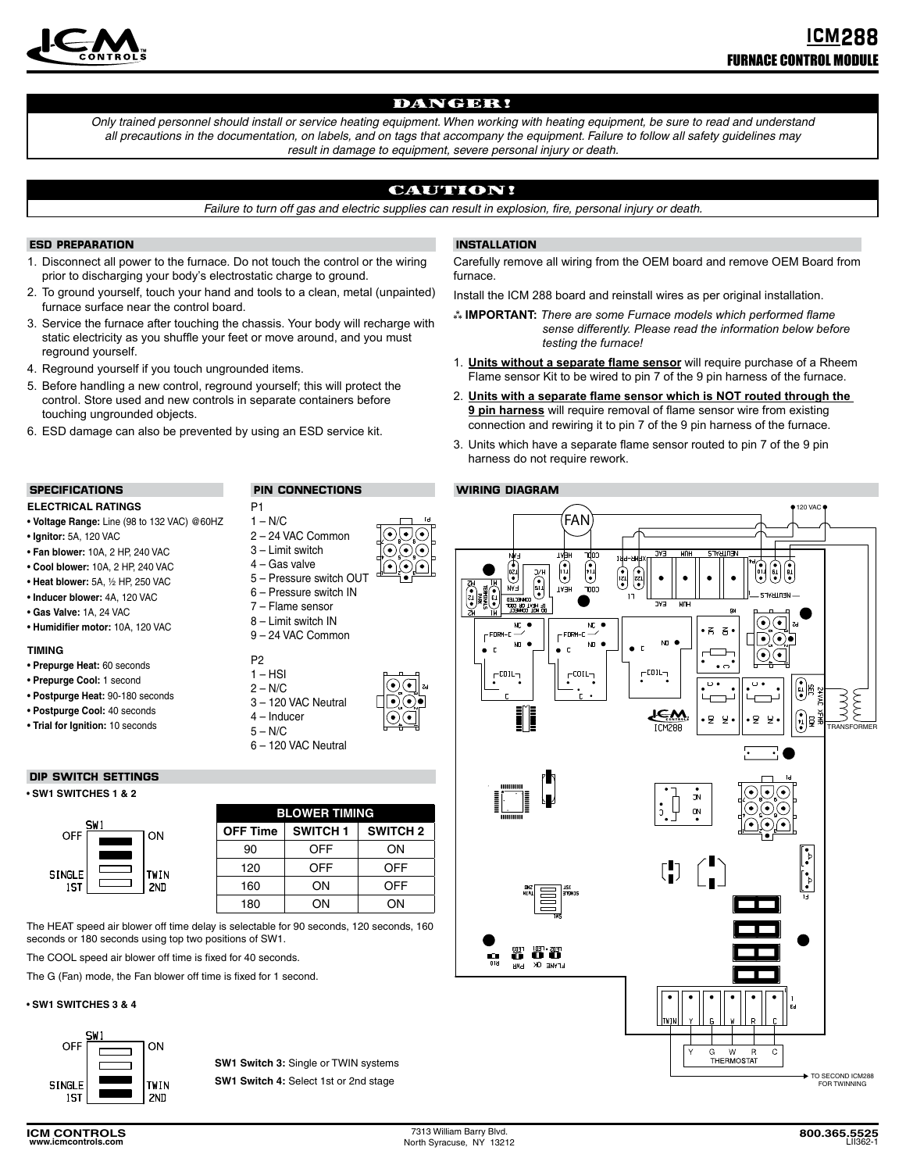

# DANGER!

*Only trained personnel should install or service heating equipment. When working with heating equipment, be sure to read and understand all precautions in the documentation, on labels, and on tags that accompany the equipment. Failure to follow all safety guidelines may result in damage to equipment, severe personal injury or death.*

# CAUTION!

*Failure to turn off gas and electric supplies can result in explosion, fire, personal injury or death.*

# **ESD PREPARATION**

- 1. Disconnect all power to the furnace. Do not touch the control or the wiring prior to discharging your body's electrostatic charge to ground.
- 2. To ground yourself, touch your hand and tools to a clean, metal (unpainted) furnace surface near the control board.
- 3. Service the furnace after touching the chassis. Your body will recharge with static electricity as you shuffle your feet or move around, and you must reground yourself.
- 4. Reground yourself if you touch ungrounded items.
- 5. Before handling a new control, reground yourself; this will protect the control. Store used and new controls in separate containers before touching ungrounded objects.
- 6. ESD damage can also be prevented by using an ESD service kit.

### **SPECIFICATIONS**

# **ELECTRICAL RATINGS**

- **Voltage Range:** Line (98 to 132 VAC) @60HZ
- **Ignitor:** 5A, 120 VAC
- **Fan blower:** 10A, 2 HP, 240 VAC
- **Cool blower:** 10A, 2 HP, 240 VAC
- **Heat blower:** 5A, ½ HP, 250 VAC
- **Inducer blower:** 4A, 120 VAC
- **Gas Valve:** 1A, 24 VAC
- **Humidifier motor:** 10A, 120 VAC

#### **TIMING**

- **Prepurge Heat:** 60 seconds
- **Prepurge Cool:** 1 second
- **Postpurge Heat:** 90-180 seconds
- **Postpurge Cool:** 40 seconds
- **Trial for Ignition:** 10 seconds

# **DIP SWITCH SETTINGS**

#### • **SW1 SWITCHES 1 & 2**

 $\epsilon$ 

|                     |  |                    | <b>BLOWER TIMING</b> |                 |              |
|---------------------|--|--------------------|----------------------|-----------------|--------------|
| SW1<br><b>OFF</b>   |  | ON                 | <b>OFF Time</b>      | <b>SWITCH 1</b> | <b>SWITC</b> |
|                     |  | <b>TWIN</b><br>2ND | 90                   | OFF             | ON           |
| <b>INGLE</b><br>1ST |  |                    | 120                  | OFF             | )FF          |
|                     |  |                    | 160                  | OΝ              | FF           |
|                     |  |                    | 180                  | OΝ              | OΝ           |

The HEAT speed air blower off time delay is selectable for 90 seconds, 120 seconds, 160 seconds or 180 seconds using top two positions of SW1.

The COOL speed air blower off time is fixed for 40 seconds.

The G (Fan) mode, the Fan blower off time is fixed for 1 second.

#### • **SW1 SWITCHES 3 & 4**



**SW1 Switch 3:** Single or TWIN systems **SW1 Switch 4:** Select 1st or 2nd stage



P1  $1 - N/C$ 

- 6 Pressure switch IN
- 7 Flame sensor
- 8 Limit switch IN 9 – 24 VAC Common
- P2



 $2 - N/C$ 

4 – Inducer





**OFF Time SWITCH 1 SWITCH 2**

 $5 - N/C$ 6 – 120 VAC Neutral

# **INSTALLATION**

Carefully remove all wiring from the OEM board and remove OEM Board from furnace.

Install the ICM 288 board and reinstall wires as per original installation.

- **IMPORTANT:** *There are some Furnace models which performed flame sense differently. Please read the information below before testing the furnace!*
- 1. **Units without a separate flame sensor** will require purchase of a Rheem Flame sensor Kit to be wired to pin 7 of the 9 pin harness of the furnace.
- 2. Units with a separate flame sensor which is NOT routed through the **9 pin harness** will require removal of flame sensor wire from existing connection and rewiring it to pin 7 of the 9 pin harness of the furnace.
- 3. Units which have a separate flame sensor routed to pin 7 of the 9 pin harness do not require rework.

# **WIRING DIAGRAM**



TO SECOND ICM288 FOR TWINNING

2 – 24 VAC Common **PIN CONNECTIONS**